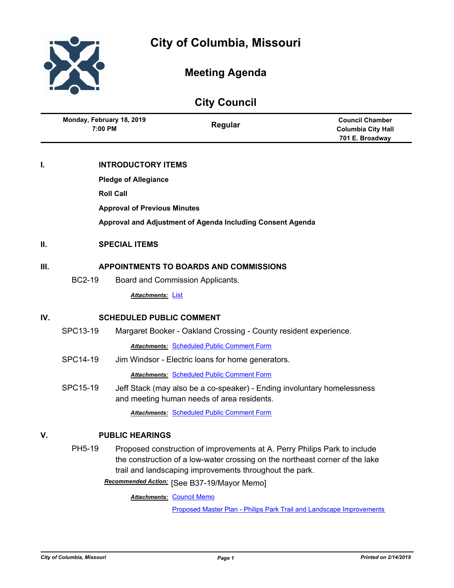

# **Meeting Agenda**

| <b>City Council</b> |                                                                                                                                                                                                                                |                           |                                                                                                                       |                                                                        |
|---------------------|--------------------------------------------------------------------------------------------------------------------------------------------------------------------------------------------------------------------------------|---------------------------|-----------------------------------------------------------------------------------------------------------------------|------------------------------------------------------------------------|
|                     | Monday, February 18, 2019<br>7:00 PM                                                                                                                                                                                           |                           | Regular                                                                                                               | <b>Council Chamber</b><br><b>Columbia City Hall</b><br>701 E. Broadway |
| ı.                  |                                                                                                                                                                                                                                | <b>INTRODUCTORY ITEMS</b> |                                                                                                                       |                                                                        |
|                     | <b>Pledge of Allegiance</b>                                                                                                                                                                                                    |                           |                                                                                                                       |                                                                        |
|                     | <b>Roll Call</b>                                                                                                                                                                                                               |                           |                                                                                                                       |                                                                        |
|                     | <b>Approval of Previous Minutes</b>                                                                                                                                                                                            |                           |                                                                                                                       |                                                                        |
|                     | Approval and Adjustment of Agenda Including Consent Agenda                                                                                                                                                                     |                           |                                                                                                                       |                                                                        |
| П.                  | <b>SPECIAL ITEMS</b>                                                                                                                                                                                                           |                           |                                                                                                                       |                                                                        |
| Ш.                  | APPOINTMENTS TO BOARDS AND COMMISSIONS                                                                                                                                                                                         |                           |                                                                                                                       |                                                                        |
|                     | <b>BC2-19</b>                                                                                                                                                                                                                  |                           | Board and Commission Applicants.                                                                                      |                                                                        |
|                     |                                                                                                                                                                                                                                | Attachments: List         |                                                                                                                       |                                                                        |
| IV.                 | <b>SCHEDULED PUBLIC COMMENT</b>                                                                                                                                                                                                |                           |                                                                                                                       |                                                                        |
|                     | SPC13-19                                                                                                                                                                                                                       |                           | Margaret Booker - Oakland Crossing - County resident experience.                                                      |                                                                        |
|                     |                                                                                                                                                                                                                                |                           | <b>Attachments: Scheduled Public Comment Form</b>                                                                     |                                                                        |
|                     | SPC14-19                                                                                                                                                                                                                       |                           | Jim Windsor - Electric loans for home generators.                                                                     |                                                                        |
|                     |                                                                                                                                                                                                                                |                           | <b>Attachments: Scheduled Public Comment Form</b>                                                                     |                                                                        |
|                     | SPC15-19                                                                                                                                                                                                                       |                           | Jeff Stack (may also be a co-speaker) - Ending involuntary homelessness<br>and meeting human needs of area residents. |                                                                        |
|                     |                                                                                                                                                                                                                                |                           | <b>Attachments: Scheduled Public Comment Form</b>                                                                     |                                                                        |
| V.                  | <b>PUBLIC HEARINGS</b>                                                                                                                                                                                                         |                           |                                                                                                                       |                                                                        |
|                     | PH5-19<br>Proposed construction of improvements at A. Perry Philips Park to include<br>the construction of a low-water crossing on the northeast corner of the lake<br>trail and landscaping improvements throughout the park. |                           |                                                                                                                       |                                                                        |

[See B37-19/Mayor Memo] *Recommended Action:* **Attachments: [Council Memo](http://gocolumbiamo.legistar.com/gateway.aspx?M=F&ID=750faa7f-937e-4d9e-a5c6-ac3a97b6474c.docx)** 

[Proposed Master Plan - Philips Park Trail and Landscape Improvements](http://gocolumbiamo.legistar.com/gateway.aspx?M=F&ID=8232912c-b878-4d92-a194-173836d1e067.pdf)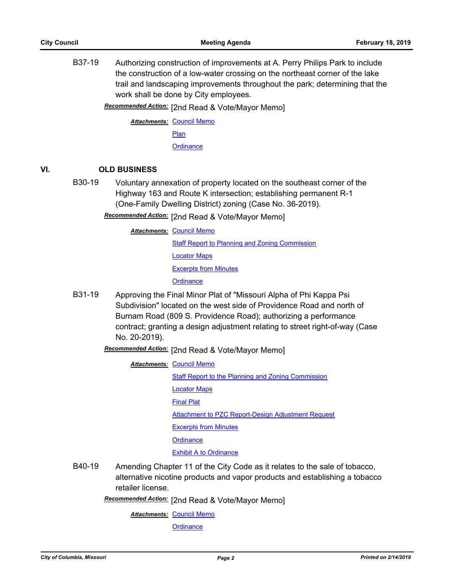B37-19 Authorizing construction of improvements at A. Perry Philips Park to include the construction of a low-water crossing on the northeast corner of the lake trail and landscaping improvements throughout the park; determining that the work shall be done by City employees.

Recommended Action: [2nd Read & Vote/Mayor Memo]

**Attachments: [Council Memo](http://gocolumbiamo.legistar.com/gateway.aspx?M=F&ID=04284ab0-2858-4e6c-97fd-a99f421cda03.docx)** [Plan](http://gocolumbiamo.legistar.com/gateway.aspx?M=F&ID=b591f49c-1c1d-4996-a8e0-f28fad50184d.pdf) **[Ordinance](http://gocolumbiamo.legistar.com/gateway.aspx?M=F&ID=4c1c24a6-ee31-49d8-930a-e46b92a4add0.doc)** 

### **VI. OLD BUSINESS**

B30-19 Voluntary annexation of property located on the southeast corner of the Highway 163 and Route K intersection; establishing permanent R-1 (One-Family Dwelling District) zoning (Case No. 36-2019).

Recommended Action: [2nd Read & Vote/Mayor Memo]

**Attachments: [Council Memo](http://gocolumbiamo.legistar.com/gateway.aspx?M=F&ID=30321615-7d49-4df8-9d84-aa177b79572d.docx)** 

[Staff Report to Planning and Zoning Commission](http://gocolumbiamo.legistar.com/gateway.aspx?M=F&ID=86305676-7d26-4211-9ad7-20de65f97798.docx) [Locator Maps](http://gocolumbiamo.legistar.com/gateway.aspx?M=F&ID=b1395478-d0a1-4e90-b950-4232fcbda92c.pdf) [Excerpts from Minutes](http://gocolumbiamo.legistar.com/gateway.aspx?M=F&ID=5316fc00-0530-4642-b36e-8446346609ba.docx) **[Ordinance](http://gocolumbiamo.legistar.com/gateway.aspx?M=F&ID=6b1f6bb4-063e-4281-bcbc-ba41f2d2c1b9.doc)** 

B31-19 Approving the Final Minor Plat of "Missouri Alpha of Phi Kappa Psi Subdivision" located on the west side of Providence Road and north of Burnam Road (809 S. Providence Road); authorizing a performance contract; granting a design adjustment relating to street right-of-way (Case No. 20-2019).

Recommended Action: [2nd Read & Vote/Mayor Memo]

**Attachments: [Council Memo](http://gocolumbiamo.legistar.com/gateway.aspx?M=F&ID=2452883b-b268-4def-8b4a-986b50c3cf80.docx)** 

[Staff Report to the Planning and Zoning Commission](http://gocolumbiamo.legistar.com/gateway.aspx?M=F&ID=ed281dda-2ff0-4a69-9364-19da23a7c1ec.docx)

[Locator Maps](http://gocolumbiamo.legistar.com/gateway.aspx?M=F&ID=8e5a238c-a4c8-4b12-9d1b-2d36394e36df.pdf)

[Final Plat](http://gocolumbiamo.legistar.com/gateway.aspx?M=F&ID=96cb1c74-0241-4a7d-a1e0-29a7a34df01a.pdf)

[Attachment to PZC Report-Design Adjustment Request](http://gocolumbiamo.legistar.com/gateway.aspx?M=F&ID=6aa53f73-a641-4fd2-b05e-82acdda7c3f0.pdf)

[Excerpts from Minutes](http://gocolumbiamo.legistar.com/gateway.aspx?M=F&ID=d77b8d2f-8898-4436-866c-ad48e7b6e334.docx)

**[Ordinance](http://gocolumbiamo.legistar.com/gateway.aspx?M=F&ID=b4851f2c-819c-494f-97ef-ad6d819f9564.doc)** 

[Exhibit A to Ordinance](http://gocolumbiamo.legistar.com/gateway.aspx?M=F&ID=72c1f1a8-3deb-479c-af10-1be8f20fdb1a.pdf)

B40-19 Amending Chapter 11 of the City Code as it relates to the sale of tobacco, alternative nicotine products and vapor products and establishing a tobacco retailer license.

Recommended Action: [2nd Read & Vote/Mayor Memo]

**Attachments: [Council Memo](http://gocolumbiamo.legistar.com/gateway.aspx?M=F&ID=952f57e2-c1dc-4d9e-bdbc-5b89444db77d.docx)**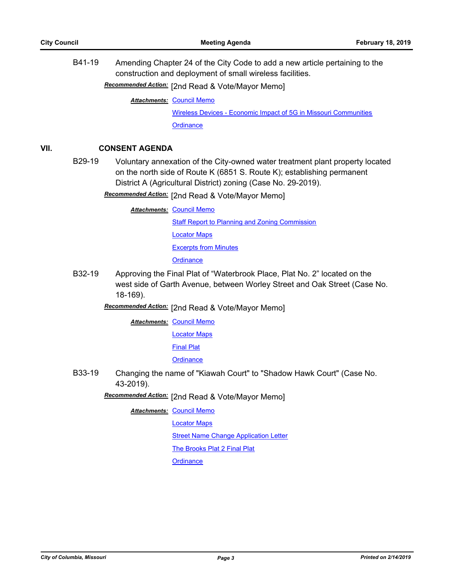B41-19 Amending Chapter 24 of the City Code to add a new article pertaining to the construction and deployment of small wireless facilities.

[2nd Read & Vote/Mayor Memo] *Recommended Action:*

**Attachments: [Council Memo](http://gocolumbiamo.legistar.com/gateway.aspx?M=F&ID=4a82fdc4-b8cc-4dfa-8f9c-90a6a553a7de.docx)** 

[Wireless Devices - Economic Impact of 5G in Missouri Communities](http://gocolumbiamo.legistar.com/gateway.aspx?M=F&ID=004b8706-d903-4eea-bb86-973d46e53ab8.pdf) **[Ordinance](http://gocolumbiamo.legistar.com/gateway.aspx?M=F&ID=99f0ba91-d3b7-42cd-b600-1a8210133579.doc)** 

### **VII. CONSENT AGENDA**

B29-19 Voluntary annexation of the City-owned water treatment plant property located on the north side of Route K (6851 S. Route K); establishing permanent District A (Agricultural District) zoning (Case No. 29-2019).

Recommended Action: [2nd Read & Vote/Mayor Memo]

**Attachments: [Council Memo](http://gocolumbiamo.legistar.com/gateway.aspx?M=F&ID=ca5e051d-9cf7-4ecd-b925-1816e02a5403.docx)** [Staff Report to Planning and Zoning Commission](http://gocolumbiamo.legistar.com/gateway.aspx?M=F&ID=b56d6bcb-181c-4b42-be67-51f603fd206c.docx) [Locator Maps](http://gocolumbiamo.legistar.com/gateway.aspx?M=F&ID=0fa91392-d017-4c85-a232-3070a193059c.pdf) [Excerpts from Minutes](http://gocolumbiamo.legistar.com/gateway.aspx?M=F&ID=41bf0916-d59e-4697-a99e-a3701990d999.docx) **[Ordinance](http://gocolumbiamo.legistar.com/gateway.aspx?M=F&ID=f15a454b-1d6f-45aa-8a0a-a32fe7e4e65c.doc)** 

B32-19 Approving the Final Plat of "Waterbrook Place, Plat No. 2" located on the west side of Garth Avenue, between Worley Street and Oak Street (Case No. 18-169).

[2nd Read & Vote/Mayor Memo] *Recommended Action:*

**Attachments: [Council Memo](http://gocolumbiamo.legistar.com/gateway.aspx?M=F&ID=a91bb6f5-5f44-424a-b090-8ad45943fe8e.docx)** 

[Locator Maps](http://gocolumbiamo.legistar.com/gateway.aspx?M=F&ID=542b23af-57c3-4ec9-9508-580c197a71d7.pdf)

[Final Plat](http://gocolumbiamo.legistar.com/gateway.aspx?M=F&ID=0a16dffd-88a5-4344-a967-71af856e2f99.pdf)

**[Ordinance](http://gocolumbiamo.legistar.com/gateway.aspx?M=F&ID=fea457d5-043a-41d8-acc2-c5187d41331b.doc)** 

B33-19 Changing the name of "Kiawah Court" to "Shadow Hawk Court" (Case No. 43-2019).

Recommended Action: [2nd Read & Vote/Mayor Memo]

- **Attachments: [Council Memo](http://gocolumbiamo.legistar.com/gateway.aspx?M=F&ID=2fcd3063-48b2-4508-a96d-92002dc1b47f.docx)** 
	- [Locator Maps](http://gocolumbiamo.legistar.com/gateway.aspx?M=F&ID=47f0b1cb-0c90-4b6d-a857-083cf89095b4.pdf)

**[Street Name Change Application Letter](http://gocolumbiamo.legistar.com/gateway.aspx?M=F&ID=0b19993c-2687-46eb-8764-94a48fc28dcd.pdf)** 

[The Brooks Plat 2 Final Plat](http://gocolumbiamo.legistar.com/gateway.aspx?M=F&ID=ad8be1e8-71e0-474e-ac4e-15b570ec3a68.pdf)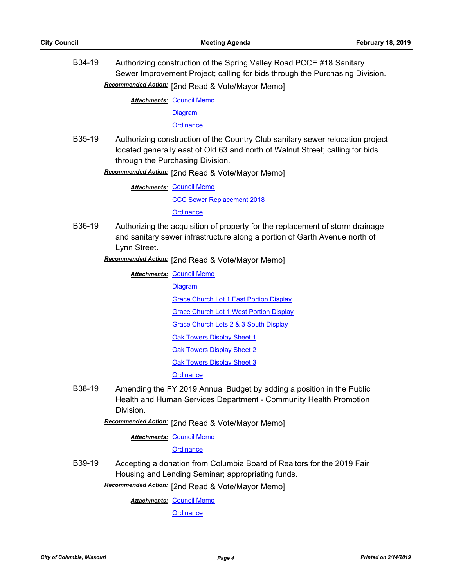B34-19 Authorizing construction of the Spring Valley Road PCCE #18 Sanitary Sewer Improvement Project; calling for bids through the Purchasing Division. Recommended Action: [2nd Read & Vote/Mayor Memo]

**Attachments: [Council Memo](http://gocolumbiamo.legistar.com/gateway.aspx?M=F&ID=51b058de-60b4-4c03-898b-93824277037e.docx)** 

[Diagram](http://gocolumbiamo.legistar.com/gateway.aspx?M=F&ID=0d5b7ce0-fd87-4f0e-92c8-466d6332f498.pdf)

**[Ordinance](http://gocolumbiamo.legistar.com/gateway.aspx?M=F&ID=d7793392-ffa3-4e2c-88a4-c0b52fae1541.doc)** 

B35-19 Authorizing construction of the Country Club sanitary sewer relocation project located generally east of Old 63 and north of Walnut Street; calling for bids through the Purchasing Division.

**Recommended Action:** [2nd Read & Vote/Mayor Memo]

**Attachments: [Council Memo](http://gocolumbiamo.legistar.com/gateway.aspx?M=F&ID=f16424e0-6c77-4c2c-b7c9-ce38700f667e.docx)** [CCC Sewer Replacement 2018](http://gocolumbiamo.legistar.com/gateway.aspx?M=F&ID=f21f3dae-decf-4124-9437-41f42a527848.pdf) **[Ordinance](http://gocolumbiamo.legistar.com/gateway.aspx?M=F&ID=d6c84cb7-4cce-4b37-b6df-b8761aa60774.doc)** 

B36-19 Authorizing the acquisition of property for the replacement of storm drainage and sanitary sewer infrastructure along a portion of Garth Avenue north of Lynn Street.

[2nd Read & Vote/Mayor Memo] *Recommended Action:*

**Attachments: [Council Memo](http://gocolumbiamo.legistar.com/gateway.aspx?M=F&ID=301f0244-6605-4df7-8fc8-70e71bd2d136.docx)** 

[Diagram](http://gocolumbiamo.legistar.com/gateway.aspx?M=F&ID=d2711b0f-e876-46fe-94de-9998301c675b.pdf) [Grace Church Lot 1 East Portion Display](http://gocolumbiamo.legistar.com/gateway.aspx?M=F&ID=b7cd87eb-5f46-45f8-b121-334d377a62e9.pdf) [Grace Church Lot 1 West Portion Display](http://gocolumbiamo.legistar.com/gateway.aspx?M=F&ID=ea0986af-3ec2-4c49-abd5-5096141e1c28.pdf) [Grace Church Lots 2 & 3 South Display](http://gocolumbiamo.legistar.com/gateway.aspx?M=F&ID=aea15feb-5e91-4e70-8c58-6ca1d92cc843.pdf) [Oak Towers Display Sheet 1](http://gocolumbiamo.legistar.com/gateway.aspx?M=F&ID=d1a2e273-18bb-423e-b056-e02d09f35035.pdf) **[Oak Towers Display Sheet 2](http://gocolumbiamo.legistar.com/gateway.aspx?M=F&ID=37a2202a-a61c-4d1f-9832-d620e059d4db.pdf)** [Oak Towers Display Sheet 3](http://gocolumbiamo.legistar.com/gateway.aspx?M=F&ID=741fd104-0309-47da-b98b-a872e04c27c3.pdf)

**[Ordinance](http://gocolumbiamo.legistar.com/gateway.aspx?M=F&ID=c842b30c-b616-41e1-912d-dddd622090b2.doc)** 

B38-19 Amending the FY 2019 Annual Budget by adding a position in the Public Health and Human Services Department - Community Health Promotion Division.

Recommended Action: [2nd Read & Vote/Mayor Memo]

**Attachments: [Council Memo](http://gocolumbiamo.legistar.com/gateway.aspx?M=F&ID=d7ce7ef4-4064-488a-a3af-81d736598f09.docx)** 

**[Ordinance](http://gocolumbiamo.legistar.com/gateway.aspx?M=F&ID=6c6f96ca-1bf4-4ad9-acec-b5a3070ed3c1.doc)** 

B39-19 Accepting a donation from Columbia Board of Realtors for the 2019 Fair Housing and Lending Seminar; appropriating funds.

**Recommended Action:** [2nd Read & Vote/Mayor Memo]

**Attachments: [Council Memo](http://gocolumbiamo.legistar.com/gateway.aspx?M=F&ID=bad7f66a-4155-471b-a83c-7e7244599d84.docx)**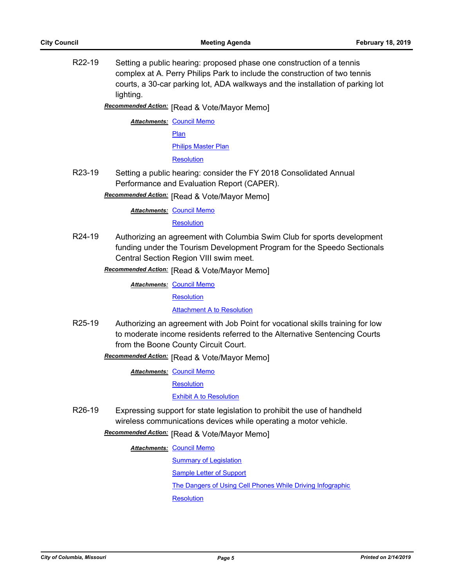R22-19 Setting a public hearing: proposed phase one construction of a tennis complex at A. Perry Philips Park to include the construction of two tennis courts, a 30-car parking lot, ADA walkways and the installation of parking lot lighting.

**Recommended Action:** [Read & Vote/Mayor Memo]

**Attachments: [Council Memo](http://gocolumbiamo.legistar.com/gateway.aspx?M=F&ID=9f3768c0-5a93-47b4-957d-dbd7d4b62966.docx)** [Plan](http://gocolumbiamo.legistar.com/gateway.aspx?M=F&ID=726ac45c-0d45-41f5-9482-4683cf9d6254.pdf) [Philips Master Plan](http://gocolumbiamo.legistar.com/gateway.aspx?M=F&ID=e6cf1a11-d9bf-4853-93b4-55888466e8e2.pdf) **[Resolution](http://gocolumbiamo.legistar.com/gateway.aspx?M=F&ID=68297f8a-bdaa-492f-a77d-f5fb4be6452d.doc)** 

R23-19 Setting a public hearing: consider the FY 2018 Consolidated Annual Performance and Evaluation Report (CAPER).

**Recommended Action:** [Read & Vote/Mayor Memo]

**Attachments: [Council Memo](http://gocolumbiamo.legistar.com/gateway.aspx?M=F&ID=571635a7-e9d8-4dd3-8629-f7be87cbcc09.docx)** 

**[Resolution](http://gocolumbiamo.legistar.com/gateway.aspx?M=F&ID=fa3af880-24ba-47c9-a457-58716bc43541.doc)** 

R24-19 Authorizing an agreement with Columbia Swim Club for sports development funding under the Tourism Development Program for the Speedo Sectionals Central Section Region VIII swim meet.

**Recommended Action:** [Read & Vote/Mayor Memo]

**Attachments: [Council Memo](http://gocolumbiamo.legistar.com/gateway.aspx?M=F&ID=2542e9fb-cd89-4859-9c35-f8a5548441b4.docx)** 

**[Resolution](http://gocolumbiamo.legistar.com/gateway.aspx?M=F&ID=7ceac3c5-1fdb-4b69-aaca-b0de0925fd54.doc)** 

**[Attachment A to Resolution](http://gocolumbiamo.legistar.com/gateway.aspx?M=F&ID=be753b0f-3c66-4060-8f49-383d8396680b.pdf)** 

R25-19 Authorizing an agreement with Job Point for vocational skills training for low to moderate income residents referred to the Alternative Sentencing Courts from the Boone County Circuit Court.

**Recommended Action:** [Read & Vote/Mayor Memo]

**Attachments: [Council Memo](http://gocolumbiamo.legistar.com/gateway.aspx?M=F&ID=ac28fc1e-c0d9-41b8-ac78-5a19e92ec733.docx)** 

**[Resolution](http://gocolumbiamo.legistar.com/gateway.aspx?M=F&ID=0b66769f-9a40-4ba1-9548-8ccad047dda5.doc)** 

[Exhibit A to Resolution](http://gocolumbiamo.legistar.com/gateway.aspx?M=F&ID=5c07eabe-b178-4d36-9c9f-34e1d8aba24d.pdf)

R26-19 Expressing support for state legislation to prohibit the use of handheld wireless communications devices while operating a motor vehicle.

**Recommended Action:** [Read & Vote/Mayor Memo]

**Attachments: [Council Memo](http://gocolumbiamo.legistar.com/gateway.aspx?M=F&ID=e69d4e52-4d27-445c-bb26-385d249f8f43.docx)** 

[Summary of Legislation](http://gocolumbiamo.legistar.com/gateway.aspx?M=F&ID=5c51fa53-4076-41c0-bdbd-d4071b21f79d.docx)

[Sample Letter of Support](http://gocolumbiamo.legistar.com/gateway.aspx?M=F&ID=bc47c341-ac41-4c98-b9c0-ae3c10464271.docx)

[The Dangers of Using Cell Phones While Driving Infographic](http://gocolumbiamo.legistar.com/gateway.aspx?M=F&ID=72fa2449-f9a4-46a2-a4c7-11c5c3daef0b.pdf)

**[Resolution](http://gocolumbiamo.legistar.com/gateway.aspx?M=F&ID=4a429197-40f8-483b-956f-a271f635e4f0.doc)**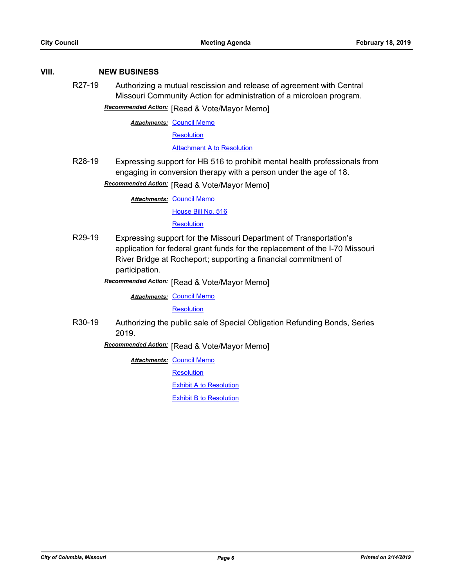### **VIII. NEW BUSINESS**

R27-19 Authorizing a mutual rescission and release of agreement with Central Missouri Community Action for administration of a microloan program.

**Recommended Action:** [Read & Vote/Mayor Memo]

**Attachments: [Council Memo](http://gocolumbiamo.legistar.com/gateway.aspx?M=F&ID=14348c20-9889-4e22-98b1-f4d78105577e.docx)** 

**[Resolution](http://gocolumbiamo.legistar.com/gateway.aspx?M=F&ID=e4046007-c189-4b7f-8b77-cb1adfe9c926.doc)** 

[Attachment A to Resolution](http://gocolumbiamo.legistar.com/gateway.aspx?M=F&ID=8ca90cd5-d0cc-43cb-ab7d-d451de098f85.pdf)

R28-19 Expressing support for HB 516 to prohibit mental health professionals from engaging in conversion therapy with a person under the age of 18.

**Recommended Action:** [Read & Vote/Mayor Memo]

**Attachments: [Council Memo](http://gocolumbiamo.legistar.com/gateway.aspx?M=F&ID=0da8b456-db08-4a61-95be-dedda09bd73f.docx)** 

[House Bill No. 516](http://gocolumbiamo.legistar.com/gateway.aspx?M=F&ID=d9fe18cb-826f-465a-93c6-ea241aeac71b.pdf)

**[Resolution](http://gocolumbiamo.legistar.com/gateway.aspx?M=F&ID=60398d38-25c3-4482-9dd9-2f0914dad615.doc)** 

R29-19 Expressing support for the Missouri Department of Transportation's application for federal grant funds for the replacement of the I-70 Missouri River Bridge at Rocheport; supporting a financial commitment of participation.

**Recommended Action:** [Read & Vote/Mayor Memo]

**Attachments: [Council Memo](http://gocolumbiamo.legistar.com/gateway.aspx?M=F&ID=8347f333-559c-49ed-a5cc-713ff15ea089.docx)** 

**[Resolution](http://gocolumbiamo.legistar.com/gateway.aspx?M=F&ID=0ba6361d-326a-4dc0-aa27-dd9722dac73b.doc)** 

R30-19 Authorizing the public sale of Special Obligation Refunding Bonds, Series 2019.

**Recommended Action:** [Read & Vote/Mayor Memo]

**Attachments: [Council Memo](http://gocolumbiamo.legistar.com/gateway.aspx?M=F&ID=31033bfa-25ad-4cca-99f3-2991a338d25e.docx)** 

**[Resolution](http://gocolumbiamo.legistar.com/gateway.aspx?M=F&ID=3abda9a2-d3b9-4f28-b9ea-089f31b24df5.doc)** 

[Exhibit A to Resolution](http://gocolumbiamo.legistar.com/gateway.aspx?M=F&ID=46161d6a-64bf-45c2-b717-1cad38f9895e.pdf)

[Exhibit B to Resolution](http://gocolumbiamo.legistar.com/gateway.aspx?M=F&ID=e1fc2827-ef83-4eb9-ab57-9858f55d1817.pdf)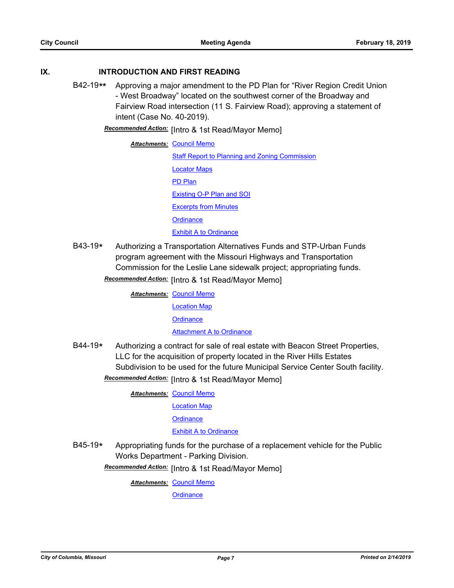### **IX. INTRODUCTION AND FIRST READING**

B42-19**\*\*** Approving a major amendment to the PD Plan for "River Region Credit Union - West Broadway" located on the southwest corner of the Broadway and Fairview Road intersection (11 S. Fairview Road); approving a statement of intent (Case No. 40-2019).

**Recommended Action:** [Intro & 1st Read/Mayor Memo]

**Attachments: [Council Memo](http://gocolumbiamo.legistar.com/gateway.aspx?M=F&ID=0b4465b4-f185-4d49-9f73-2b71a2258d04.docx)** [Staff Report to Planning and Zoning Commission](http://gocolumbiamo.legistar.com/gateway.aspx?M=F&ID=620cb520-3f69-4dfc-a5d5-e50a8016bf08.docx) [Locator Maps](http://gocolumbiamo.legistar.com/gateway.aspx?M=F&ID=8874a663-d1a4-439d-96f7-c407b2c7f833.pdf) [PD Plan](http://gocolumbiamo.legistar.com/gateway.aspx?M=F&ID=95036f4b-6a05-4522-a19a-1af2332db428.pdf) [Existing O-P Plan and SOI](http://gocolumbiamo.legistar.com/gateway.aspx?M=F&ID=c9095a2c-552a-4b52-b401-009fb61b3976.pdf) [Excerpts from Minutes](http://gocolumbiamo.legistar.com/gateway.aspx?M=F&ID=57c12092-2f86-4a58-aa4a-5796ad3a13c6.docx) **[Ordinance](http://gocolumbiamo.legistar.com/gateway.aspx?M=F&ID=813b5fc6-7784-4c3d-a5ac-8a5e76f129a6.doc)** [Exhibit A to Ordinance](http://gocolumbiamo.legistar.com/gateway.aspx?M=F&ID=e9481a7d-2efa-47f2-afb1-11ae9f029e73.pdf)

B43-19**\*** Authorizing a Transportation Alternatives Funds and STP-Urban Funds program agreement with the Missouri Highways and Transportation Commission for the Leslie Lane sidewalk project; appropriating funds.

Recommended Action: [Intro & 1st Read/Mayor Memo]

**Attachments: [Council Memo](http://gocolumbiamo.legistar.com/gateway.aspx?M=F&ID=34cd83d4-f46a-47f7-ad32-a28a60226e31.docx)** [Location Map](http://gocolumbiamo.legistar.com/gateway.aspx?M=F&ID=83d3228f-5cd3-4c0c-a5bf-55c770e8c2d8.pdf) **[Ordinance](http://gocolumbiamo.legistar.com/gateway.aspx?M=F&ID=d2e421ab-3b66-4d66-bd98-2354cb368cf5.doc)** [Attachment A to Ordinance](http://gocolumbiamo.legistar.com/gateway.aspx?M=F&ID=cb7dbc81-8362-489a-aa39-fd7ea84ab522.pdf)

B44-19**\*** Authorizing a contract for sale of real estate with Beacon Street Properties, LLC for the acquisition of property located in the River Hills Estates Subdivision to be used for the future Municipal Service Center South facility.

Recommended Action: [Intro & 1st Read/Mayor Memo]

**Attachments: [Council Memo](http://gocolumbiamo.legistar.com/gateway.aspx?M=F&ID=6127f236-7c4d-495c-9e1e-6994e3c3fce1.docx)** 

[Location Map](http://gocolumbiamo.legistar.com/gateway.aspx?M=F&ID=8864968d-4203-405c-8faf-1c9b9c00634b.pdf)

**[Ordinance](http://gocolumbiamo.legistar.com/gateway.aspx?M=F&ID=992e977d-1aa7-4d91-98ff-d43379d6f43b.doc)** 

[Exhibit A to Ordinance](http://gocolumbiamo.legistar.com/gateway.aspx?M=F&ID=c464b64a-a0da-4eba-a5f0-ed513bf5ac59.pdf)

B45-19**\*** Appropriating funds for the purchase of a replacement vehicle for the Public Works Department - Parking Division.

Recommended Action: [Intro & 1st Read/Mayor Memo]

**Attachments: [Council Memo](http://gocolumbiamo.legistar.com/gateway.aspx?M=F&ID=be5030cf-c547-4f65-9e59-48792bb2039a.docx)**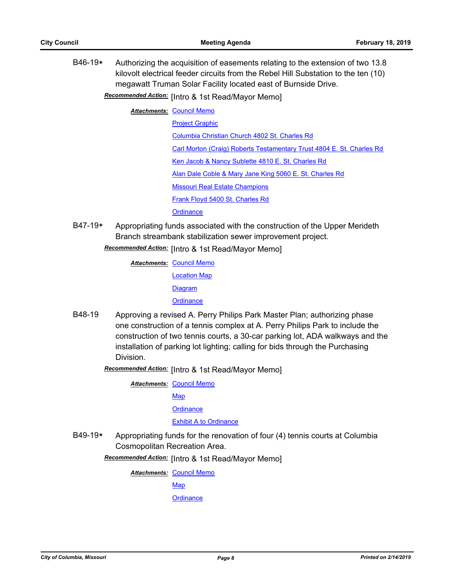B46-19**\*** Authorizing the acquisition of easements relating to the extension of two 13.8 kilovolt electrical feeder circuits from the Rebel Hill Substation to the ten (10) megawatt Truman Solar Facility located east of Burnside Drive.

**Recommended Action:** [Intro & 1st Read/Mayor Memo]

**Attachments: [Council Memo](http://gocolumbiamo.legistar.com/gateway.aspx?M=F&ID=fa8f267d-6cc1-41ec-ad86-ec5b069cc0d8.docx)** 

[Project Graphic](http://gocolumbiamo.legistar.com/gateway.aspx?M=F&ID=e6c39741-fc7a-4330-91e9-ba7a65708e83.pdf)

[Columbia Christian Church 4802 St. Charles Rd](http://gocolumbiamo.legistar.com/gateway.aspx?M=F&ID=01d11007-346c-4d2b-917c-4172b6bbfd7a.pdf)

[Carl Morton \(Craig\) Roberts Testamentary Trust 4804 E. St. Charles Rd](http://gocolumbiamo.legistar.com/gateway.aspx?M=F&ID=d41f5303-3acc-4c8e-99aa-1dac9abb9833.pdf)

[Ken Jacob & Nancy Sublette 4810 E. St. Charles Rd](http://gocolumbiamo.legistar.com/gateway.aspx?M=F&ID=6c4c207c-07ea-4c6b-91f3-42481aac6d9f.pdf)

[Alan Dale Coble & Mary Jane King 5060 E. St. Charles Rd](http://gocolumbiamo.legistar.com/gateway.aspx?M=F&ID=9ecb52c5-0650-42a4-847a-5a591d6e7dd7.pdf)

[Missouri Real Estate Champions](http://gocolumbiamo.legistar.com/gateway.aspx?M=F&ID=51a37325-b47b-4701-9ca3-31441d8500bc.pdf)

[Frank Floyd 5400 St. Charles Rd](http://gocolumbiamo.legistar.com/gateway.aspx?M=F&ID=5a1d3358-5cf6-4641-8138-7dde163b2011.pdf)

**[Ordinance](http://gocolumbiamo.legistar.com/gateway.aspx?M=F&ID=03d9691f-89f8-409a-91ad-10226cbb3a5a.doc)** 

B47-19**\*** Appropriating funds associated with the construction of the Upper Merideth Branch streambank stabilization sewer improvement project.

Recommended Action: [Intro & 1st Read/Mayor Memo]

**Attachments: [Council Memo](http://gocolumbiamo.legistar.com/gateway.aspx?M=F&ID=a2bffb2b-4d41-4db8-ba47-a8d1f19f5345.docx)** [Location Map](http://gocolumbiamo.legistar.com/gateway.aspx?M=F&ID=9f8344e3-c9dd-492f-8a5b-f221053f7fdd.pdf) **[Diagram](http://gocolumbiamo.legistar.com/gateway.aspx?M=F&ID=54cfab77-f616-47d4-9b3d-423e3c23fc46.pdf) [Ordinance](http://gocolumbiamo.legistar.com/gateway.aspx?M=F&ID=5451010f-31b3-4136-9eda-4a57b1a7d268.doc)** 

B48-19 Approving a revised A. Perry Philips Park Master Plan; authorizing phase one construction of a tennis complex at A. Perry Philips Park to include the construction of two tennis courts, a 30-car parking lot, ADA walkways and the installation of parking lot lighting; calling for bids through the Purchasing **Division** 

**Recommended Action:** [Intro & 1st Read/Mayor Memo]

**Attachments: [Council Memo](http://gocolumbiamo.legistar.com/gateway.aspx?M=F&ID=fc32054e-88f6-468f-889e-6cdb9fc57aab.docx)** 

[Map](http://gocolumbiamo.legistar.com/gateway.aspx?M=F&ID=2e24e953-0098-4100-9b18-c89f91c23392.pdf)

**[Ordinance](http://gocolumbiamo.legistar.com/gateway.aspx?M=F&ID=2432cbfd-f112-4545-a326-8bd4ca7122f0.doc)** 

[Exhibit A to Ordinance](http://gocolumbiamo.legistar.com/gateway.aspx?M=F&ID=17c4bf60-e54a-4cb8-b1fc-6e4b45e3496e.pdf)

B49-19**\*** Appropriating funds for the renovation of four (4) tennis courts at Columbia Cosmopolitan Recreation Area.

Recommended Action: [Intro & 1st Read/Mayor Memo]

**Attachments: [Council Memo](http://gocolumbiamo.legistar.com/gateway.aspx?M=F&ID=bb33aab5-c4e6-4f14-b4a4-06be0b398aa1.docx)** 

[Map](http://gocolumbiamo.legistar.com/gateway.aspx?M=F&ID=8ea453bb-8d1a-41ea-b835-e05f86d1bfc9.pdf)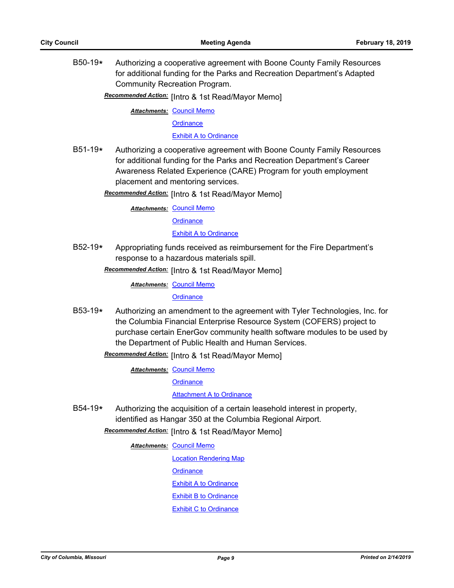B50-19**\*** Authorizing a cooperative agreement with Boone County Family Resources for additional funding for the Parks and Recreation Department's Adapted Community Recreation Program.

**Recommended Action:** [Intro & 1st Read/Mayor Memo]

**Attachments: [Council Memo](http://gocolumbiamo.legistar.com/gateway.aspx?M=F&ID=ad41ea3b-43e6-4986-8fde-6ca292cd9c3b.docx)** 

**[Ordinance](http://gocolumbiamo.legistar.com/gateway.aspx?M=F&ID=02842213-5a0a-413c-a7f1-8879e65d9b93.doc)** 

[Exhibit A to Ordinance](http://gocolumbiamo.legistar.com/gateway.aspx?M=F&ID=bfc4866d-77f1-44b5-9d0e-cf78be443e3a.pdf)

B51-19**\*** Authorizing a cooperative agreement with Boone County Family Resources for additional funding for the Parks and Recreation Department's Career Awareness Related Experience (CARE) Program for youth employment placement and mentoring services.

Recommended Action: [Intro & 1st Read/Mayor Memo]

**Attachments: [Council Memo](http://gocolumbiamo.legistar.com/gateway.aspx?M=F&ID=f2b35f7f-fe0d-44e1-8d9c-d5810adffb1c.docx) [Ordinance](http://gocolumbiamo.legistar.com/gateway.aspx?M=F&ID=b41c9e21-e393-49c8-a27c-7842166184cb.doc) [Exhibit A to Ordinance](http://gocolumbiamo.legistar.com/gateway.aspx?M=F&ID=53e1f8bc-217d-4c9c-b938-a986288d709f.pdf)** 

B52-19**\*** Appropriating funds received as reimbursement for the Fire Department's response to a hazardous materials spill.

Recommended Action: [Intro & 1st Read/Mayor Memo]

**Attachments: [Council Memo](http://gocolumbiamo.legistar.com/gateway.aspx?M=F&ID=05c31a70-1698-4a22-aa0d-909990e8ef38.docx)** 

**[Ordinance](http://gocolumbiamo.legistar.com/gateway.aspx?M=F&ID=d8111609-5034-4e79-b81a-ca811858af1f.doc)** 

B53-19**\*** Authorizing an amendment to the agreement with Tyler Technologies, Inc. for the Columbia Financial Enterprise Resource System (COFERS) project to purchase certain EnerGov community health software modules to be used by the Department of Public Health and Human Services.

Recommended Action: [Intro & 1st Read/Mayor Memo]

**Attachments: [Council Memo](http://gocolumbiamo.legistar.com/gateway.aspx?M=F&ID=66dbbc0e-2fc5-4df9-b1eb-7bc22384ca53.docx)** 

**[Ordinance](http://gocolumbiamo.legistar.com/gateway.aspx?M=F&ID=f5f85d80-5529-4870-8d50-b13891b80ce5.doc)** 

[Attachment A to Ordinance](http://gocolumbiamo.legistar.com/gateway.aspx?M=F&ID=fc5df39e-8959-4536-9dbd-f23d1ad445d9.pdf)

B54-19**\*** Authorizing the acquisition of a certain leasehold interest in property, identified as Hangar 350 at the Columbia Regional Airport.

Recommended Action: [Intro & 1st Read/Mayor Memo]

**Attachments: [Council Memo](http://gocolumbiamo.legistar.com/gateway.aspx?M=F&ID=89188673-6a02-4217-84d7-521cd7bf338c.docx)** 

[Location Rendering Map](http://gocolumbiamo.legistar.com/gateway.aspx?M=F&ID=6338229d-55cf-47f0-9c4a-c4fc0b60904e.pdf)

**[Ordinance](http://gocolumbiamo.legistar.com/gateway.aspx?M=F&ID=fe8820cc-40f0-446d-a3c1-a16175711969.doc)** 

**[Exhibit A to Ordinance](http://gocolumbiamo.legistar.com/gateway.aspx?M=F&ID=75740b60-03cf-48a4-af3d-0db5f28c4882.pdf)** 

[Exhibit B to Ordinance](http://gocolumbiamo.legistar.com/gateway.aspx?M=F&ID=2b7739e4-645a-4eff-9213-e728da097fcc.pdf)

[Exhibit C to Ordinance](http://gocolumbiamo.legistar.com/gateway.aspx?M=F&ID=07b01409-4fe5-4645-b4f8-c590104467fb.pdf)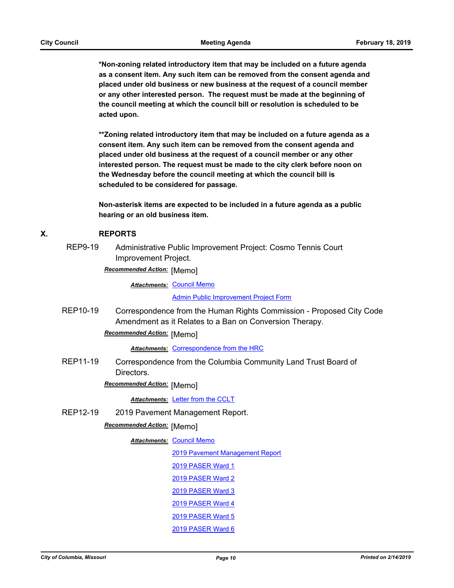**\*Non-zoning related introductory item that may be included on a future agenda as a consent item. Any such item can be removed from the consent agenda and placed under old business or new business at the request of a council member or any other interested person. The request must be made at the beginning of the council meeting at which the council bill or resolution is scheduled to be acted upon.** 

**\*\*Zoning related introductory item that may be included on a future agenda as a consent item. Any such item can be removed from the consent agenda and placed under old business at the request of a council member or any other interested person. The request must be made to the city clerk before noon on the Wednesday before the council meeting at which the council bill is scheduled to be considered for passage.**

**Non-asterisk items are expected to be included in a future agenda as a public hearing or an old business item.**

### **X. REPORTS**

REP9-19 Administrative Public Improvement Project: Cosmo Tennis Court Improvement Project.

**Recommended Action:** [Memo]

**Attachments: [Council Memo](http://gocolumbiamo.legistar.com/gateway.aspx?M=F&ID=764ec0c3-8b37-4c6c-9384-ac8c2347d892.docx)** 

[Admin Public Improvement Project Form](http://gocolumbiamo.legistar.com/gateway.aspx?M=F&ID=10196196-9320-41f6-b676-96383e6a8e36.docx)

REP10-19 Correspondence from the Human Rights Commission - Proposed City Code Amendment as it Relates to a Ban on Conversion Therapy.

## **Recommended Action:** [Memo]

**Attachments: [Correspondence from the HRC](http://gocolumbiamo.legistar.com/gateway.aspx?M=F&ID=3cf86e6e-aac4-4ec5-9550-ffd429aa6848.docx)** 

REP11-19 Correspondence from the Columbia Community Land Trust Board of Directors.

**Recommended Action:** [Memo]

*Attachments:* [Letter from the CCLT](http://gocolumbiamo.legistar.com/gateway.aspx?M=F&ID=72361914-e3bb-4746-93a0-a225a8b496ec.pdf)

REP12-19 2019 Pavement Management Report.

### **Recommended Action: [Memo]**

#### **Attachments: [Council Memo](http://gocolumbiamo.legistar.com/gateway.aspx?M=F&ID=88e723fb-ce99-4b02-b395-5d160217cacd.docx)**

[2019 Pavement Management Report](http://gocolumbiamo.legistar.com/gateway.aspx?M=F&ID=7554c295-f524-4147-a9fc-a8265fd361b0.pdf) [2019 PASER Ward 1](http://gocolumbiamo.legistar.com/gateway.aspx?M=F&ID=0fa3683f-b0f8-4ac9-9dd0-f38e3a0f70f8.pdf) [2019 PASER Ward 2](http://gocolumbiamo.legistar.com/gateway.aspx?M=F&ID=cc0d5e0f-b115-4046-bf82-1f27e01586ce.pdf) [2019 PASER Ward 3](http://gocolumbiamo.legistar.com/gateway.aspx?M=F&ID=3bf803a3-8c3b-405b-9f51-edae2648fd52.pdf) [2019 PASER Ward 4](http://gocolumbiamo.legistar.com/gateway.aspx?M=F&ID=a8166529-17f9-4d2d-8421-781e456c2c89.pdf) [2019 PASER Ward 5](http://gocolumbiamo.legistar.com/gateway.aspx?M=F&ID=486e605c-7147-4ba4-93ff-0151b29c3624.pdf)

[2019 PASER Ward 6](http://gocolumbiamo.legistar.com/gateway.aspx?M=F&ID=2f10ef5a-1382-42a2-a64e-bf4a26f50ba2.pdf)